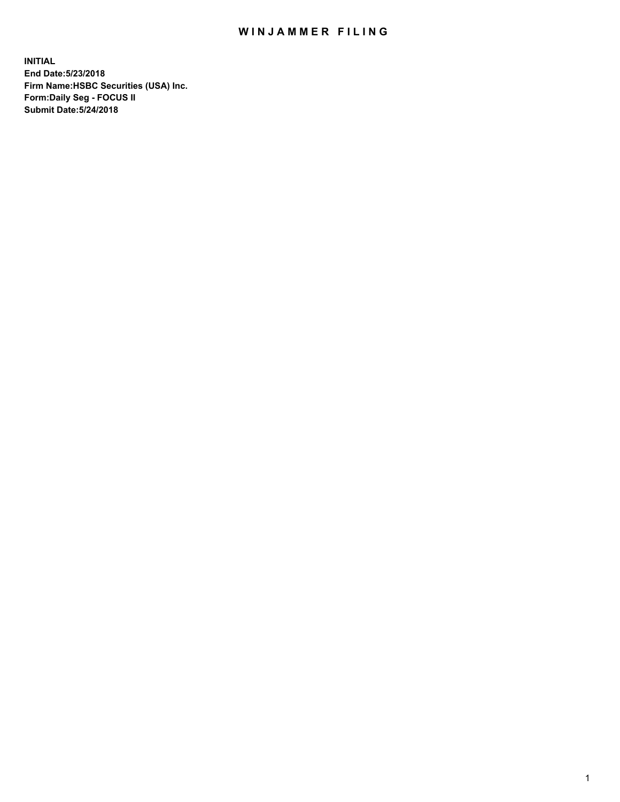## WIN JAMMER FILING

**INITIAL End Date:5/23/2018 Firm Name:HSBC Securities (USA) Inc. Form:Daily Seg - FOCUS II Submit Date:5/24/2018**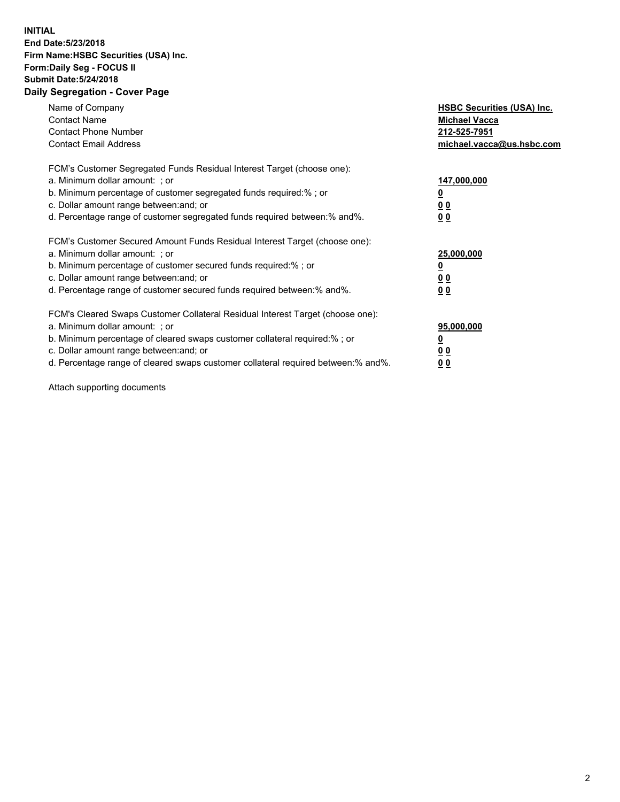## **INITIAL End Date:5/23/2018 Firm Name:HSBC Securities (USA) Inc. Form:Daily Seg - FOCUS II Submit Date:5/24/2018 Daily Segregation - Cover Page**

| Name of Company<br><b>Contact Name</b><br><b>Contact Phone Number</b><br><b>Contact Email Address</b>                                                                                                                                                                                                                         | <b>HSBC Securities (USA) Inc.</b><br><b>Michael Vacca</b><br>212-525-7951<br>michael.vacca@us.hsbc.com |
|-------------------------------------------------------------------------------------------------------------------------------------------------------------------------------------------------------------------------------------------------------------------------------------------------------------------------------|--------------------------------------------------------------------------------------------------------|
| FCM's Customer Segregated Funds Residual Interest Target (choose one):<br>a. Minimum dollar amount: ; or<br>b. Minimum percentage of customer segregated funds required:% ; or<br>c. Dollar amount range between: and; or<br>d. Percentage range of customer segregated funds required between: % and %.                      | 147,000,000<br><u>0</u><br><u>00</u><br>0 <sub>0</sub>                                                 |
| FCM's Customer Secured Amount Funds Residual Interest Target (choose one):<br>a. Minimum dollar amount: ; or<br>b. Minimum percentage of customer secured funds required:%; or<br>c. Dollar amount range between: and; or<br>d. Percentage range of customer secured funds required between: % and %.                         | 25,000,000<br><u>0</u><br><u>00</u><br>00                                                              |
| FCM's Cleared Swaps Customer Collateral Residual Interest Target (choose one):<br>a. Minimum dollar amount: ; or<br>b. Minimum percentage of cleared swaps customer collateral required:%; or<br>c. Dollar amount range between: and; or<br>d. Percentage range of cleared swaps customer collateral required between:% and%. | 95,000,000<br><u>0</u><br>0 <sub>0</sub><br>0 <sub>0</sub>                                             |

Attach supporting documents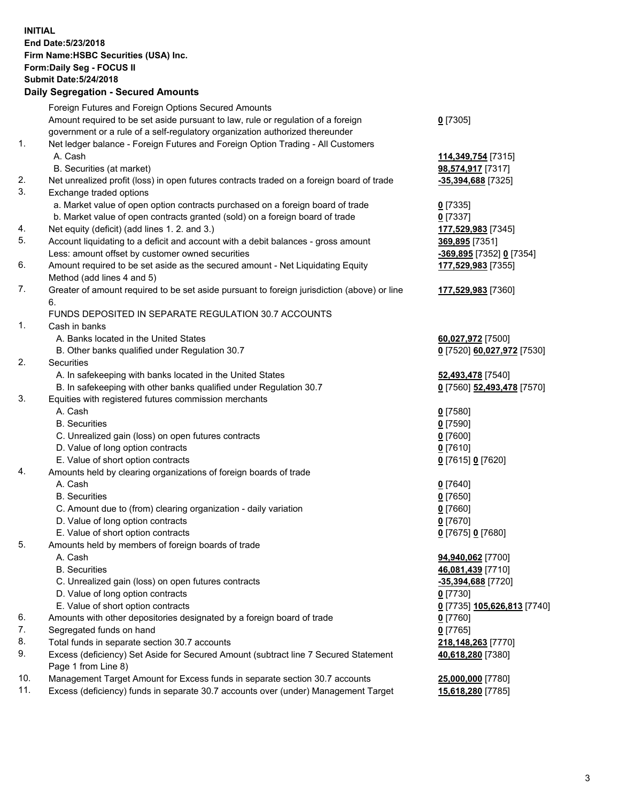**INITIAL End Date:5/23/2018 Firm Name:HSBC Securities (USA) Inc. Form:Daily Seg - FOCUS II Submit Date:5/24/2018 Daily Segregation - Secured Amounts**

|     | Foreign Futures and Foreign Options Secured Amounts                                         |                             |
|-----|---------------------------------------------------------------------------------------------|-----------------------------|
|     | Amount required to be set aside pursuant to law, rule or regulation of a foreign            | $0$ [7305]                  |
|     | government or a rule of a self-regulatory organization authorized thereunder                |                             |
| 1.  | Net ledger balance - Foreign Futures and Foreign Option Trading - All Customers             |                             |
|     | A. Cash                                                                                     | 114,349,754 [7315]          |
|     | B. Securities (at market)                                                                   | 98,574,917 [7317]           |
| 2.  | Net unrealized profit (loss) in open futures contracts traded on a foreign board of trade   | -35,394,688 [7325]          |
| 3.  | Exchange traded options                                                                     |                             |
|     | a. Market value of open option contracts purchased on a foreign board of trade              | $0$ [7335]                  |
|     | b. Market value of open contracts granted (sold) on a foreign board of trade                | $0$ [7337]                  |
| 4.  | Net equity (deficit) (add lines 1.2. and 3.)                                                | 177,529,983 [7345]          |
| 5.  | Account liquidating to a deficit and account with a debit balances - gross amount           | 369,895 [7351]              |
|     | Less: amount offset by customer owned securities                                            | -369,895 [7352] 0 [7354]    |
| 6.  | Amount required to be set aside as the secured amount - Net Liquidating Equity              | 177,529,983 [7355]          |
|     | Method (add lines 4 and 5)                                                                  |                             |
| 7.  | Greater of amount required to be set aside pursuant to foreign jurisdiction (above) or line | 177,529,983 [7360]          |
|     | 6.                                                                                          |                             |
|     | FUNDS DEPOSITED IN SEPARATE REGULATION 30.7 ACCOUNTS                                        |                             |
| 1.  | Cash in banks                                                                               |                             |
|     | A. Banks located in the United States                                                       | 60,027,972 [7500]           |
|     | B. Other banks qualified under Regulation 30.7                                              | 0 [7520] 60,027,972 [7530]  |
| 2.  | Securities                                                                                  |                             |
|     | A. In safekeeping with banks located in the United States                                   | 52,493,478 [7540]           |
|     | B. In safekeeping with other banks qualified under Regulation 30.7                          | 0 [7560] 52,493,478 [7570]  |
| 3.  | Equities with registered futures commission merchants                                       |                             |
|     | A. Cash                                                                                     | $0$ [7580]                  |
|     | <b>B.</b> Securities                                                                        | $0$ [7590]                  |
|     | C. Unrealized gain (loss) on open futures contracts                                         | $0$ [7600]                  |
|     | D. Value of long option contracts                                                           | $0$ [7610]                  |
|     | E. Value of short option contracts                                                          | 0 [7615] 0 [7620]           |
| 4.  | Amounts held by clearing organizations of foreign boards of trade                           |                             |
|     | A. Cash                                                                                     | $0$ [7640]                  |
|     | <b>B.</b> Securities                                                                        | $0$ [7650]                  |
|     | C. Amount due to (from) clearing organization - daily variation                             | $0$ [7660]                  |
|     | D. Value of long option contracts                                                           | $0$ [7670]                  |
|     | E. Value of short option contracts                                                          | 0 [7675] 0 [7680]           |
| 5.  | Amounts held by members of foreign boards of trade                                          |                             |
|     | A. Cash                                                                                     | 94,940,062 [7700]           |
|     | <b>B.</b> Securities                                                                        | 46,081,439 [7710]           |
|     | C. Unrealized gain (loss) on open futures contracts                                         | -35,394,688 [7720]          |
|     | D. Value of long option contracts                                                           | $0$ [7730]                  |
|     | E. Value of short option contracts                                                          |                             |
| 6.  | Amounts with other depositories designated by a foreign board of trade                      | 0 [7735] 105,626,813 [7740] |
| 7.  |                                                                                             | <u>0</u> [7760]             |
| 8.  | Segregated funds on hand<br>Total funds in separate section 30.7 accounts                   | $0$ [7765]                  |
|     |                                                                                             | 218,148,263 [7770]          |
| 9.  | Excess (deficiency) Set Aside for Secured Amount (subtract line 7 Secured Statement         | 40,618,280 [7380]           |
|     | Page 1 from Line 8)                                                                         |                             |
| 10. | Management Target Amount for Excess funds in separate section 30.7 accounts                 | 25,000,000 [7780]           |
| 11. | Excess (deficiency) funds in separate 30.7 accounts over (under) Management Target          | 15,618,280 [7785]           |
|     |                                                                                             |                             |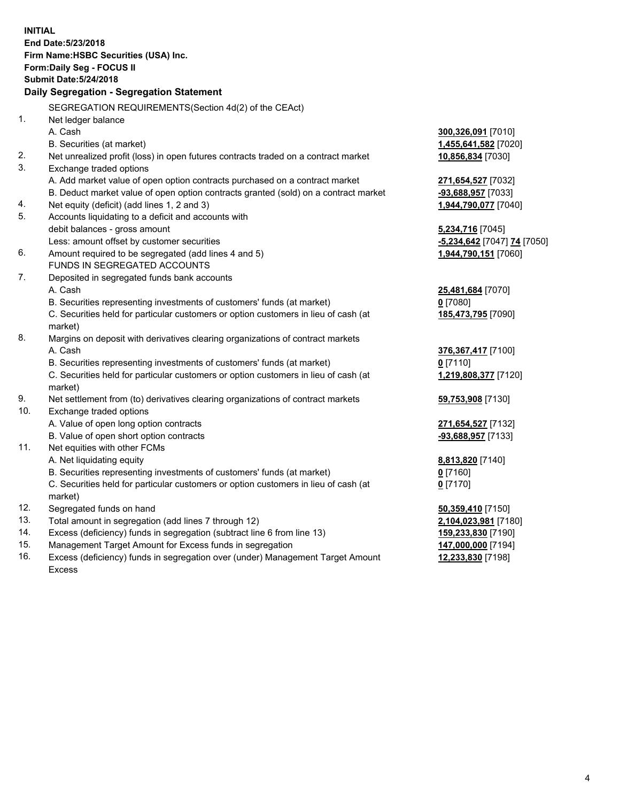**INITIAL End Date:5/23/2018 Firm Name:HSBC Securities (USA) Inc. Form:Daily Seg - FOCUS II Submit Date:5/24/2018 Daily Segregation - Segregation Statement** SEGREGATION REQUIREMENTS(Section 4d(2) of the CEAct) 1. Net ledger balance A. Cash **300,326,091** [7010] B. Securities (at market) **1,455,641,582** [7020] 2. Net unrealized profit (loss) in open futures contracts traded on a contract market **10,856,834** [7030] 3. Exchange traded options A. Add market value of open option contracts purchased on a contract market **271,654,527** [7032] B. Deduct market value of open option contracts granted (sold) on a contract market **-93,688,957** [7033] 4. Net equity (deficit) (add lines 1, 2 and 3) **1,944,790,077** [7040] 5. Accounts liquidating to a deficit and accounts with debit balances - gross amount **5,234,716** [7045] Less: amount offset by customer securities **-5,234,642** [7047] **74** [7050] 6. Amount required to be segregated (add lines 4 and 5) **1,944,790,151** [7060] FUNDS IN SEGREGATED ACCOUNTS 7. Deposited in segregated funds bank accounts A. Cash **25,481,684** [7070] B. Securities representing investments of customers' funds (at market) **0** [7080] C. Securities held for particular customers or option customers in lieu of cash (at market) **185,473,795** [7090] 8. Margins on deposit with derivatives clearing organizations of contract markets A. Cash **376,367,417** [7100] B. Securities representing investments of customers' funds (at market) **0** [7110] C. Securities held for particular customers or option customers in lieu of cash (at market) **1,219,808,377** [7120] 9. Net settlement from (to) derivatives clearing organizations of contract markets **59,753,908** [7130] 10. Exchange traded options A. Value of open long option contracts **271,654,527** [7132] B. Value of open short option contracts **-93,688,957** [7133] 11. Net equities with other FCMs A. Net liquidating equity **8,813,820** [7140] B. Securities representing investments of customers' funds (at market) **0** [7160] C. Securities held for particular customers or option customers in lieu of cash (at market) **0** [7170] 12. Segregated funds on hand **50,359,410** [7150] 13. Total amount in segregation (add lines 7 through 12) **2,104,023,981** [7180] 14. Excess (deficiency) funds in segregation (subtract line 6 from line 13) **159,233,830** [7190] 15. Management Target Amount for Excess funds in segregation **147,000,000** [7194]

16. Excess (deficiency) funds in segregation over (under) Management Target Amount Excess

**12,233,830** [7198]